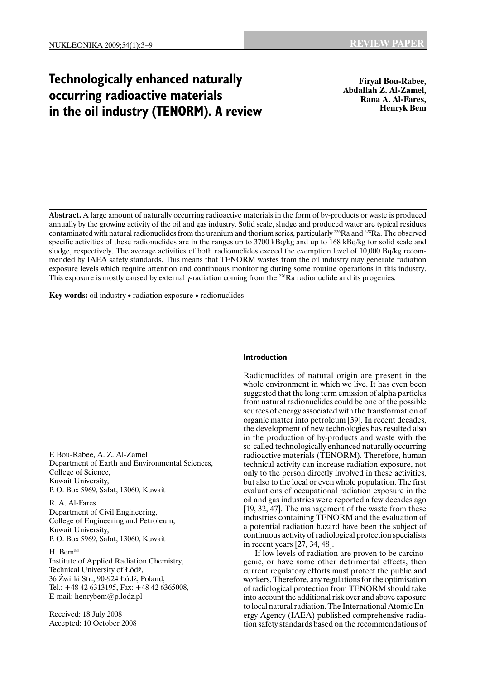# **Technologically enhanced naturally occurring radioactive materials in the oil industry (TENORM). A review**

**Firyal Bou-Rabee, Abdallah Z. Al-Zamel, Rana A. Al-Fares, Henryk Bem** 

**Abstract.** A large amount of naturally occurring radioactive materials in the form of by-products or waste is produced annually by the growing activity of the oil and gas industry. Solid scale, sludge and produced water are typical residues contaminated with natural radionuclides from the uranium and thorium series, particularly  $^{226}Ra$  and  $^{228}Ra$ . The observed specific activities of these radionuclides are in the ranges up to 3700 kBq/kg and up to 168 kBq/kg for solid scale and sludge, respectively. The average activities of both radionuclides exceed the exemption level of 10,000 Bq/kg recommended by IAEA safety standards. This means that TENORM wastes from the oil industry may generate radiation exposure levels which require attention and continuous monitoring during some routine operations in this industry. This exposure is mostly caused by external  $\gamma$ -radiation coming from the <sup>226</sup>Ra radionuclide and its progenies.

**Key words:** oil industry • radiation exposure • radionuclides

F. Bou-Rabee, A. Z. Al-Zamel Department of Earth and Environmental Sciences, College of Science, Kuwait University, P. O. Box 5969, Safat, 13060, Kuwait

R. A. Al-Fares Department of Civil Engineering, College of Engineering and Petroleum, Kuwait University, P. O. Box 5969, Safat, 13060, Kuwait

## H. Bem

Institute of Applied Radiation Chemistry, Technical University of Łódź, 36 Żwirki Str., 90-924 Łódź, Poland, Tel.: +48 42 6313195, Fax: +48 42 6365008, E-mail: henrybem@p.lodz.pl

Received: 18 July 2008 Accepted: 10 October 2008

## **Introduction**

Radionuclides of natural origin are present in the whole environment in which we live. It has even been suggested that the long term emission of alpha particles from natural radionuclides could be one of the possible sources of energy associated with the transformation of organic matter into petroleum [39]. In recent decades, the development of new technologies has resulted also in the production of by-products and waste with the so-called technologically enhanced naturally occurring radioactive materials (TENORM). Therefore, human technical activity can increase radiation exposure, not only to the person directly involved in these activities, but also to the local or even whole population. The first evaluations of occupational radiation exposure in the oil and gas industries were reported a few decades ago [19, 32, 47]. The management of the waste from these industries containing TENORM and the evaluation of a potential radiation hazard have been the subject of continuous activity of radiological protection specialists in recent years [27, 34, 48].

If low levels of radiation are proven to be carcinogenic, or have some other detrimental effects, then current regulatory efforts must protect the public and workers. Therefore, any regulations for the optimisation of radiological protection from TENORM should take into account the additional risk over and above exposure to local natural radiation. The International Atomic Energy Agency (IAEA) published comprehensive radiation safety standards based on the recommendations of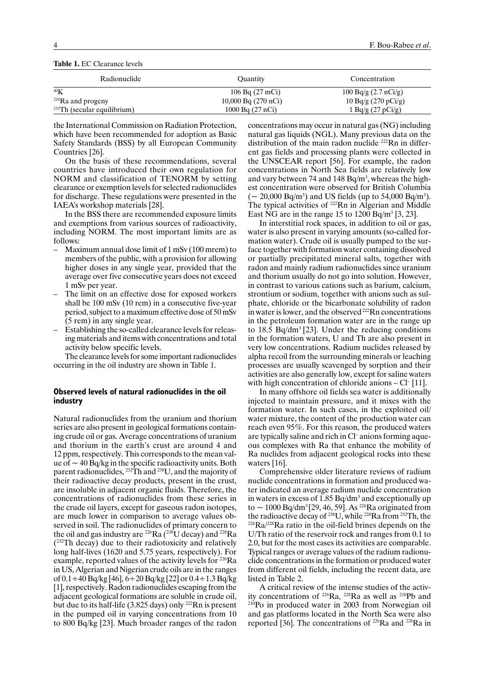| Radionuclide                   | <b>Ouantity</b>           | Concentration                  |
|--------------------------------|---------------------------|--------------------------------|
| 40 <sub>K</sub>                | 106 Bq $(27 \text{ mCi})$ | 100 Bq/g $(2.7 \text{ nCi/g})$ |
| <sup>226</sup> Ra and progeny  | $10,000$ Bq $(270$ nCi)   | 10 Bq/g $(270 \text{ pCi/g})$  |
| $232$ Th (secular equilibrium) | 1000 Bq (27 nCi)          | 1 Bq/g $(27 \text{ pCi/g})$    |

**Table 1.** EC Clearance levels

the International Commission on Radiation Protection, which have been recommended for adoption as Basic Safety Standards (BSS) by all European Community Countries [26].

On the basis of these recommendations, several countries have introduced their own regulation for NORM and classification of TENORM by setting clearance or exemption levels for selected radionuclides for discharge. These regulations were presented in the IAEA's workshop materials [28].

In the BSS there are recommended exposure limits and exemptions from various sources of radioactivity, including NORM. The most important limits are as follows:

- Maximum annual dose limit of 1 mSv (100 mrem) to members of the public, with a provision for allowing higher doses in any single year, provided that the average over five consecutive years does not exceed 1 mSv per year.
- The limit on an effective dose for exposed workers shall be 100 mSv (10 rem) in a consecutive five-year period, subject to a maximum effective dose of 50 mSv (5 rem) in any single year.
- Establishing the so-called clearance levels for releasing materials and items with concentrations and total activity below specific levels.

The clearance levels for some important radionuclides occurring in the oil industry are shown in Table 1.

### **Observed levels of natural radionuclides in the oil industry**

Natural radionuclides from the uranium and thorium series are also present in geological formations containing crude oil or gas. Average concentrations of uranium and thorium in the earth's crust are around 4 and 12 ppm, respectively. This corresponds to the mean value of  $\sim$  40 Bq/kg in the specific radioactivity units. Both parent radionuclides, <sup>232</sup>Th and <sup>238</sup>U, and the majority of their radioactive decay products, present in the crust, are insoluble in adjacent organic fluids. Therefore, the concentrations of radionuclides from these series in the crude oil layers, except for gaseous radon isotopes, are much lower in comparison to average values observed in soil. The radionuclides of primary concern to the oil and gas industry are  $226Ra$  ( $238\text{U}$  decay) and  $228Ra$ (232Th decay) due to their radiotoxicity and relatively long half-lives (1620 and 5.75 years, respectively). For example, reported values of the activity levels for 226Ra in US, Algerian and Nigerian crude oils are in the ranges of  $0.1 \div 40$  Bq/kg [46],  $6 \div 20$  Bq/kg [22] or  $0.4 \div 1.3$  Bq/kg [1], respectively. Radon radionuclides escaping from the adjacent geological formations are soluble in crude oil, but due to its half-life (3.825 days) only 222Rn is present in the pumped oil in varying concentrations from 10 to 800 Bq/kg [23]. Much broader ranges of the radon

concentrations may occur in natural gas (NG) including natural gas liquids (NGL). Many previous data on the distribution of the main radon nuclide <sup>222</sup>Rn in different gas fields and processing plants were collected in the UNSCEAR report [56]. For example, the radon concentrations in North Sea fields are relatively low and vary between 74 and  $148$  Bq/m<sup>3</sup>, whereas the highest concentration were observed for British Columbia  $({\sim 20,000 \text{ Bq/m}^3})$  and US fields (up to 54,000 Bq/m<sup>3</sup>). The typical activities of <sup>222</sup>Rn in Algerian and Middle East NG are in the range 15 to  $1200$  Bq/m<sup>3</sup> [3, 23].

In interstitial rock spaces, in addition to oil or gas, water is also present in varying amounts (so-called formation water). Crude oil is usually pumped to the surface together with formation water containing dissolved or partially precipitated mineral salts, together with radon and mainly radium radionuclides since uranium and thorium usually do not go into solution. However, in contrast to various cations such as barium, calcium, strontium or sodium, together with anions such as sulphate, chloride or the bicarbonate solubility of radon in water is lower, and the observed<sup>222</sup>Rn concentrations in the petroleum formation water are in the range up to 18.5 Bq/dm3 [23]. Under the reducing conditions in the formation waters, U and Th are also present in very low concentrations. Radium nuclides released by alpha recoil from the surrounding minerals or leaching processes are usually scavenged by sorption and their activities are also generally low, except for saline waters with high concentration of chloride anions – Cl<sup>-</sup> [11].

In many offshore oil fields sea water is additionally injected to maintain pressure, and it mixes with the formation water. In such cases, in the exploited oil/ water mixture, the content of the production water can reach even 95%. For this reason, the produced waters are typically saline and rich in Cl– anions forming aqueous complexes with Ra that enhance the mobility of Ra nuclides from adjacent geological rocks into these waters [16].

Comprehensive older literature reviews of radium nuclide concentrations in formation and produced water indicated an average radium nuclide concentration in waters in excess of  $1.85$  Bq/dm<sup>3</sup> and exceptionally up to  $\sim 1000$  Bq/dm<sup>3</sup> [29, 46, 59]. As <sup>226</sup>Ra originated from the radioactive decay of <sup>238</sup>U, while <sup>228</sup>Ra from <sup>232</sup>Th, the <sup>226</sup>Ra/<sup>228</sup>Ra ratio in the oil-field brines depends on the U/Th ratio of the reservoir rock and ranges from 0.1 to 2.0, but for the most cases its activities are comparable. Typical ranges or average values of the radium radionuclide concentrations in the formation or produced water from different oil fields, including the recent data, are listed in Table 2.

A critical review of the intense studies of the activ-<br>ity concentrations of  $^{226}Ra$ ,  $^{228}Ra$  as well as  $^{210}Pb$  and  $^{210}P<sub>O</sub>$  in produced water in 2003 from Norwegian oil and gas platforms located in the North Sea were also reported [36]. The concentrations of 226Ra and 228Ra in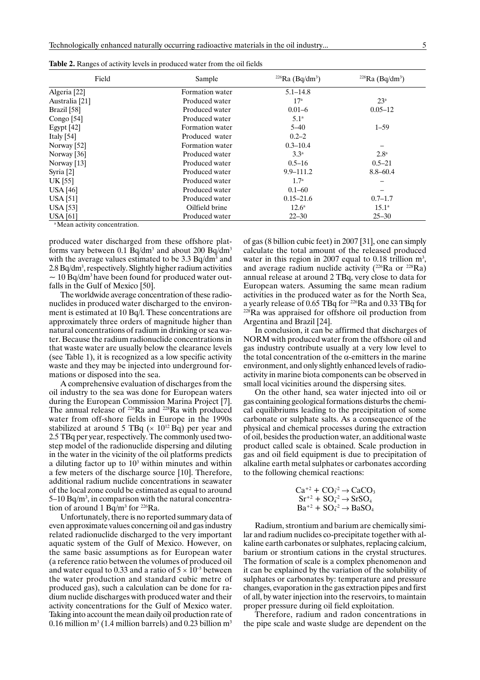| Field                | Sample          | $^{226}Ra$ (Bq/dm <sup>3</sup> ) | $228$ Ra (Bq/dm <sup>3</sup> ) |
|----------------------|-----------------|----------------------------------|--------------------------------|
| Algeria [22]         | Formation water | $5.1 - 14.8$                     |                                |
| Australia [21]       | Produced water  | 17 <sup>a</sup>                  | 23 <sup>a</sup>                |
| Brazil [58]          | Produced water  | $0.01 - 6$                       | $0.05 - 12$                    |
| Congo $[54]$         | Produced water  | 5.1 <sup>a</sup>                 |                                |
| Egypt $[42]$         | Formation water | $5 - 40$                         | $1 - 59$                       |
| Italy $[54]$         | Produced water  | $0.2 - 2$                        |                                |
| Norway $[52]$        | Formation water | $0.3 - 10.4$                     |                                |
| Norway [36]          | Produced water  | 3.3 <sup>a</sup>                 | 2.8 <sup>a</sup>               |
| Norway $[13]$        | Produced water  | $0.5 - 16$                       | $0.5 - 21$                     |
| Syria <sup>[2]</sup> | Produced water  | $9.9 - 111.2$                    | $8.8 - 60.4$                   |
| UK [55]              | Produced water  | 1.7 <sup>a</sup>                 |                                |
| <b>USA</b> [46]      | Produced water  | $0.1 - 60$                       |                                |
| <b>USA</b> [51]      | Produced water  | $0.15 - 21.6$                    | $0.7 - 1.7$                    |
| <b>USA</b> [53]      | Oilfield brine  | $12.6^{\circ}$                   | $15.1^{\circ}$                 |
| <b>USA</b> [61]      | Produced water  | $22 - 30$                        | $25 - 30$                      |

**Table 2.** Ranges of activity levels in produced water from the oil fields

a Mean activity concentration.

produced water discharged from these offshore platforms vary between 0.1 Bq/dm<sup>3</sup> and about 200 Bq/dm<sup>3</sup> with the average values estimated to be  $3.3 \text{ Bq/dm}^3$  and 2.8 Bq/dm<sup>3</sup>, respectively. Slightly higher radium activities  $\sim$  10 Bq/dm<sup>3</sup> have been found for produced water outfalls in the Gulf of Mexico [50].

The worldwide average concentration of these radionuclides in produced water discharged to the environment is estimated at 10 Bq/l. These concentrations are approximately three orders of magnitude higher than natural concentrations of radium in drinking or sea water. Because the radium radionuclide concentrations in that waste water are usually below the clearance levels (see Table 1), it is recognized as a low specific activity waste and they may be injected into underground formations or disposed into the sea.

A comprehensive evaluation of discharges from the oil industry to the sea was done for European waters during the European Commission Marina Project [7]. The annual release of <sup>226</sup>Ra and <sup>228</sup>Ra with produced water from off-shore fields in Europe in the 1990s stabilized at around 5 TBq  $(\times 10^{12}$  Bq) per year and 2.5 TBq per year, respectively. The commonly used twostep model of the radionuclide dispersing and diluting in the water in the vicinity of the oil platforms predicts a diluting factor up to  $10<sup>3</sup>$  within minutes and within a few meters of the discharge source [10]. Therefore, additional radium nuclide concentrations in seawater of the local zone could be estimated as equal to around 5–10 Bq/m<sup>3</sup>, in comparison with the natural concentration of around  $1 \text{ Bq/m}^3$  for  $^{226}\text{Ra}$ .

Unfortunately, there is no reported summary data of even approximate values concerning oil and gas industry related radionuclide discharged to the very important aquatic system of the Gulf of Mexico. However, on the same basic assumptions as for European water (a reference ratio between the volumes of produced oil and water equal to 0.33 and a ratio of  $5 \times 10^{-5}$  between the water production and standard cubic metre of produced gas), such a calculation can be done for radium nuclide discharges with produced water and their activity concentrations for the Gulf of Mexico water. Taking into account the mean daily oil production rate of  $0.16$  million m $3$  (1.4 million barrels) and  $0.23$  billion m $^3$ 

of gas (8 billion cubic feet) in 2007 [31], one can simply calculate the total amount of the released produced water in this region in 2007 equal to 0.18 trillion  $m^3$ , and average radium nuclide activity ( $^{226}Ra$  or  $^{228}Ra$ ) annual release at around 2 TBq, very close to data for European waters. Assuming the same mean radium activities in the produced water as for the North Sea, a yearly release of 0.65 TBq for 226Ra and 0.33 TBq for 228Ra was appraised for offshore oil production from Argentina and Brazil [24].

In conclusion, it can be affirmed that discharges of NORM with produced water from the offshore oil and gas industry contribute usually at a very low level to the total concentration of the α-emitters in the marine environment, and only slightly enhanced levels of radioactivity in marine biota components can be observed in small local vicinities around the dispersing sites.

On the other hand, sea water injected into oil or gas containing geological formations disturbs the chemical equilibriums leading to the precipitation of some carbonate or sulphate salts. As a consequence of the physical and chemical processes during the extraction of oil, besides the production water, an additional waste product called scale is obtained. Scale production in gas and oil field equipment is due to precipitation of alkaline earth metal sulphates or carbonates according to the following chemical reactions:

$$
\text{Ca}^{+2} + \text{CO}_3^{-2} \rightarrow \text{CaCO}_3
$$
\n
$$
\text{Sr}^{+2} + \text{SO}_4^{-2} \rightarrow \text{SrSO}_4
$$
\n
$$
\text{Ba}^{+2} + \text{SO}_4^{-2} \rightarrow \text{BaSO}_4
$$

Radium, strontium and barium are chemically similar and radium nuclides co-precipitate together with alkaline earth carbonates or sulphates, replacing calcium, barium or strontium cations in the crystal structures. The formation of scale is a complex phenomenon and it can be explained by the variation of the solubility of sulphates or carbonates by: temperature and pressure changes, evaporation in the gas extraction pipes and first of all, by water injection into the reservoirs, to maintain proper pressure during oil field exploitation.

Therefore, radium and radon concentrations in the pipe scale and waste sludge are dependent on the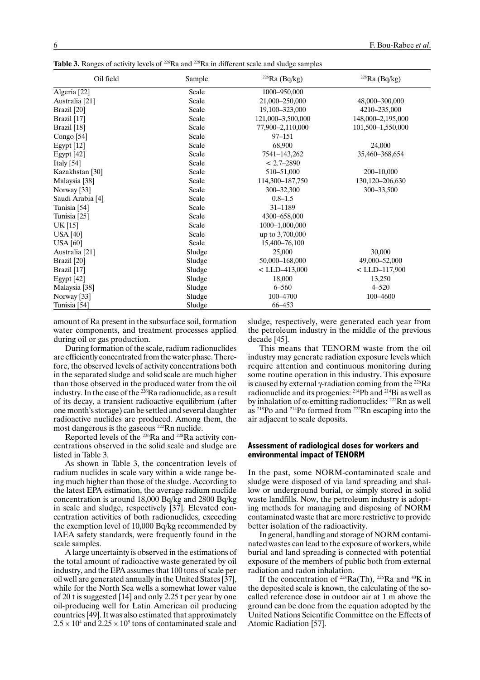| Oil field                 | Sample | $226$ Ra (Bq/kg)  | $228$ Ra (Bq/kg)  |
|---------------------------|--------|-------------------|-------------------|
| Algeria [22]              | Scale  | 1000-950,000      |                   |
| Australia [21]            | Scale  | 21,000-250,000    | 48,000-300,000    |
| Brazil [20]               | Scale  | 19,100-323,000    | 4210-235,000      |
| Brazil [17]               | Scale  | 121,000-3,500,000 | 148,000-2,195,000 |
| Brazil [18]               | Scale  | 77,900-2,110,000  | 101,500-1,550,000 |
| Congo [54]                | Scale  | $97 - 151$        |                   |
| Egypt $[12]$              | Scale  | 68,900            | 24,000            |
| Egypt [42]                | Scale  | 7541-143,262      | 35,460-368,654    |
| Italy $[54]$              | Scale  | $< 2.7 - 2890$    |                   |
| Kazakhstan [30]           | Scale  | 510-51,000        | 200-10,000        |
| Malaysia [38]             | Scale  | 114,300-187,750   | 130,120-206,630   |
| Norway <sup>[33]</sup>    | Scale  | 300-32,300        | 300-33,500        |
| Saudi Arabia [4]          | Scale  | $0.8 - 1.5$       |                   |
| Tunisia <sup>[54]</sup>   | Scale  | 31-1189           |                   |
| Tunisia <sup>[25]</sup>   | Scale  | 4300-658,000      |                   |
| UK [15]                   | Scale  | 1000-1,000,000    |                   |
| <b>USA</b> [40]           | Scale  | up to 3,700,000   |                   |
| <b>USA</b> [60]           | Scale  | 15,400-76,100     |                   |
| Australia <sup>[21]</sup> | Sludge | 25,000            | 30,000            |
| Brazil [20]               | Sludge | 50,000-168,000    | 49,000-52,000     |
| Brazil [17]               | Sludge | $<$ LLD-413,000   | $<$ LLD-117,900   |
| Egypt [42]                | Sludge | 18,000            | 13,250            |
| Malaysia [38]             | Sludge | $6 - 560$         | $4 - 520$         |
| Norway [33]               | Sludge | 100-4700          | 100-4600          |
| Tunisia [54]              | Sludge | 66-453            |                   |

Table 3. Ranges of activity levels of <sup>226</sup>Ra and <sup>228</sup>Ra in different scale and sludge samples

amount of Ra present in the subsurface soil, formation water components, and treatment processes applied during oil or gas production.

During formation of the scale, radium radionuclides are efficiently concentrated from the water phase. Therefore, the observed levels of activity concentrations both in the separated sludge and solid scale are much higher than those observed in the produced water from the oil industry. In the case of the  $2^{26}$ Ra radionuclide, as a result of its decay, a transient radioactive equilibrium (after one month's storage) can be settled and several daughter radioactive nuclides are produced. Among them, the most dangerous is the gaseous <sup>222</sup>Rn nuclide.

Reported levels of the 226Ra and 228Ra activity concentrations observed in the solid scale and sludge are listed in Table 3.

As shown in Table 3, the concentration levels of radium nuclides in scale vary within a wide range being much higher than those of the sludge. According to the latest EPA estimation, the average radium nuclide concentration is around 18,000 Bq/kg and 2800 Bq/kg in scale and sludge, respectively [37]. Elevated concentration activities of both radionuclides, exceeding the exemption level of 10,000 Bq/kg recommended by IAEA safety standards, were frequently found in the scale samples.

A large uncertainty is observed in the estimations of the total amount of radioactive waste generated by oil industry, and the EPA assumes that 100 tons of scale per oil well are generated annually in the United States [37], while for the North Sea wells a somewhat lower value of 20 t is suggested [14] and only 2.25 t per year by one oil-producing well for Latin American oil producing countries [49]. It was also estimated that approximately  $2.5 \times 10^4$  and  $2.25 \times 10^5$  tons of contaminated scale and sludge, respectively, were generated each year from the petroleum industry in the middle of the previous decade [45].

This means that TENORM waste from the oil industry may generate radiation exposure levels which require attention and continuous monitoring during some routine operation in this industry. This exposure is caused by external γ-radiation coming from the <sup>226</sup>Ra radionuclide and its progenies: 214Pb and 214Bi as well as by inhalation of  $\alpha$ -emitting radionuclides: <sup>222</sup>Rn as well as 218Po and 214Po formed from 22*<sup>2</sup>* Rn escaping into the air adjacent to scale deposits.

#### **Assessment of radiological doses for workers and environmental impact of TENORM**

In the past, some NORM-contaminated scale and sludge were disposed of via land spreading and shallow or underground burial, or simply stored in solid waste landfills. Now, the petroleum industry is adopting methods for managing and disposing of NORM contaminated waste that are more restrictive to provide better isolation of the radioactivity.

In general, handling and storage of NORM contaminated wastes can lead to the exposure of workers, while burial and land spreading is connected with potential exposure of the members of public both from external radiation and radon inhalation.

If the concentration of  $228Ra(Th)$ ,  $226Ra$  and  $40K$  in the deposited scale is known, the calculating of the socalled reference dose in outdoor air at 1 m above the ground can be done from the equation adopted by the United Nations Scientific Committee on the Effects of Atomic Radiation [57].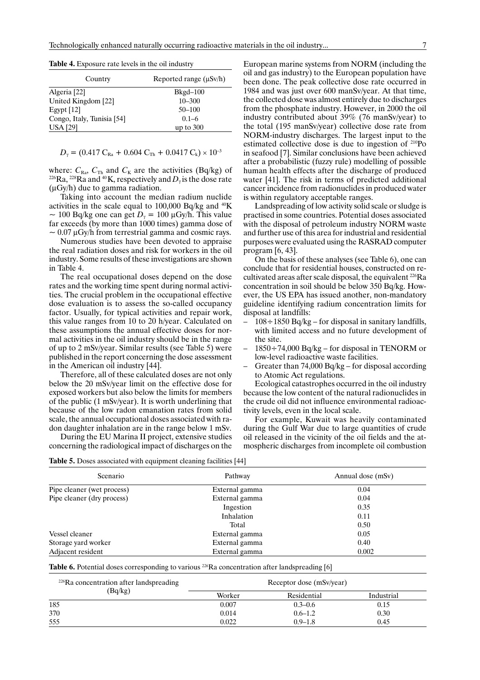| Country                    | Reported range $(\mu Sv/h)$ |
|----------------------------|-----------------------------|
| Algeria [22]               | $Bkgd-100$                  |
| United Kingdom [22]        | $10 - 300$                  |
| Egypt $[12]$               | $50 - 100$                  |
| Congo, Italy, Tunisia [54] | $0.1 - 6$                   |
| <b>USA</b> [29]            | up to $300$                 |

**Table 4.** Exposure rate levels in the oil industry

$$
D_{\gamma} = (0.417 \text{ C}_{\text{Ra}} + 0.604 \text{ C}_{\text{Th}} + 0.0417 \text{ C}_{\text{k}}) \times 10^{-3}
$$

where:  $C_{\text{Ra}}$ ,  $C_{\text{Th}}$  and  $C_{\text{K}}$  are the activities (Bq/kg) of <sup>226</sup>Ra, <sup>228</sup>Ra and <sup>40</sup>K, respectively and  $D_{\gamma}$  is the dose rate (μGy/h) due to gamma radiation.

Taking into account the median radium nuclide activities in the scale equal to 100,000 Bq/kg and 40K  $\sim$  100 Bq/kg one can get  $D<sub>y</sub>$  = 100  $\mu$ Gy/h. This value far exceeds (by more than 1000 times) gamma dose of  $\sim 0.07 \mu$ Gy/h from terrestrial gamma and cosmic rays.

Numerous studies have been devoted to appraise the real radiation doses and risk for workers in the oil industry. Some results of these investigations are shown in Table 4.

The real occupational doses depend on the dose rates and the working time spent during normal activities. The crucial problem in the occupational effective dose evaluation is to assess the so-called occupancy factor. Usually, for typical activities and repair work, this value ranges from 10 to 20 h/year. Calculated on these assumptions the annual effective doses for normal activities in the oil industry should be in the range of up to 2 mSv/year. Similar results (see Table 5) were published in the report concerning the dose assessment in the American oil industry [44].

Therefore, all of these calculated doses are not only below the 20 mSv/year limit on the effective dose for exposed workers but also below the limits for members of the public (1 mSv/year). It is worth underlining that because of the low radon emanation rates from solid scale, the annual occupational doses associated with radon daughter inhalation are in the range below 1 mSv.

During the EU Marina II project, extensive studies concerning the radiological impact of discharges on the

European marine systems from NORM (including the oil and gas industry) to the European population have been done. The peak collective dose rate occurred in 1984 and was just over 600 manSv/year. At that time, the collected dose was almost entirely due to discharges from the phosphate industry. However, in 2000 the oil industry contributed about 39% (76 manSv/year) to the total (195 manSv/year) collective dose rate from NORM-industry discharges. The largest input to the estimated collective dose is due to ingestion of 210Po in seafood [7]. Similar conclusions have been achieved after a probabilistic (fuzzy rule) modelling of possible human health effects after the discharge of produced water [41]. The risk in terms of predicted additional cancer incidence from radionuclides in produced water is within regulatory acceptable ranges.

Landspreading of low activity solid scale or sludge is practised in some countries. Potential doses associated with the disposal of petroleum industry NORM waste and further use of this area for industrial and residential purposes were evaluated using the RASRAD computer program [6, 43].

On the basis of these analyses (see Table 6), one can conclude that for residential houses, constructed on recultivated areas after scale disposal, the equivalent 226Ra concentration in soil should be below 350 Bq/kg. However, the US EPA has issued another, non-mandatory guideline identifying radium concentration limits for disposal at landfills:

- $-108 \div 1850 \text{ Bq/kg} \text{for disposal in sanitary landfills},$ with limited access and no future development of the site.
- $1850 \div 74,000$  Bq/kg for disposal in TENORM or low-level radioactive waste facilities.
- Greater than 74,000 Bq/kg for disposal according to Atomic Act regulations.

Ecological catastrophes occurred in the oil industry because the low content of the natural radionuclides in the crude oil did not influence environmental radioactivity levels, even in the local scale.

For example, Kuwait was heavily contaminated during the Gulf War due to large quantities of crude oil released in the vicinity of the oil fields and the atmospheric discharges from incomplete oil combustion

|  |  |  | Table 5. Doses associated with equipment cleaning facilities [44] |  |
|--|--|--|-------------------------------------------------------------------|--|
|--|--|--|-------------------------------------------------------------------|--|

| Scenario                   | Pathway        | Annual dose (mSv) |
|----------------------------|----------------|-------------------|
| Pipe cleaner (wet process) | External gamma | 0.04              |
| Pipe cleaner (dry process) | External gamma | 0.04              |
|                            | Ingestion      | 0.35              |
|                            | Inhalation     | 0.11              |
|                            | Total          | 0.50              |
| Vessel cleaner             | External gamma | 0.05              |
| Storage yard worker        | External gamma | 0.40              |
| Adjacent resident          | External gamma | 0.002             |

Table 6. Potential doses corresponding to various <sup>226</sup>Ra concentration after landspreading [6]

| $226$ Ra concentration after landspreading | Receptor dose (mSv/year) |             |            |
|--------------------------------------------|--------------------------|-------------|------------|
| (Bq/kg)                                    | Worker                   | Residential | Industrial |
| 185                                        | 0.007                    | $0.3 - 0.6$ | 0.15       |
| 370                                        | 0.014                    | $0.6 - 1.2$ | 0.30       |
| 555                                        | 0.022                    | $0.9 - 1.8$ | 0.45       |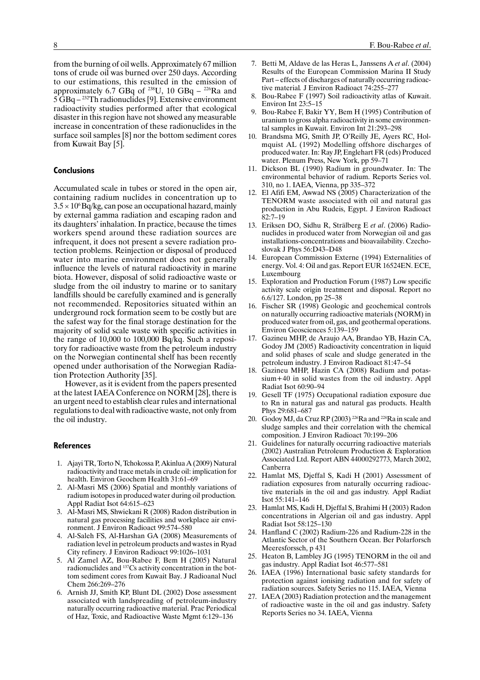from the burning of oil wells. Approximately 67 million tons of crude oil was burned over 250 days. According to our estimations, this resulted in the emission of approximately 6.7 GBq of <sup>238</sup>U, 10 GBq  $-$  <sup>226</sup>Ra and 5 GBq – 232Th radionuclides [9]. Extensive environment radioactivity studies performed after that ecological disaster in this region have not showed any measurable increase in concentration of these radionuclides in the surface soil samples [8] nor the bottom sediment cores from Kuwait Bay [5].

#### **Conclusions**

Accumulated scale in tubes or stored in the open air, containing radium nuclides in concentration up to  $3.5 \times 10^{6}$  Bq/kg, can pose an occupational hazard, mainly by external gamma radiation and escaping radon and its daughters' inhalation. In practice, because the times workers spend around these radiation sources are infrequent, it does not present a severe radiation protection problems. Reinjection or disposal of produced water into marine environment does not generally influence the levels of natural radioactivity in marine biota. However, disposal of solid radioactive waste or sludge from the oil industry to marine or to sanitary landfills should be carefully examined and is generally not recommended. Repositories situated within an underground rock formation seem to be costly but are the safest way for the final storage destination for the majority of solid scale waste with specific activities in the range of 10,000 to 100,000 Bq/kq. Such a repository for radioactive waste from the petroleum industry on the Norwegian continental shelf has been recently opened under authorisation of the Norwegian Radiation Protection Authority [35].

However, as it is evident from the papers presented at the latest IAEA Conference on NORM [28], there is an urgent need to establish clear rules and international regulations to deal with radioactive waste, not only from the oil industry.

#### **References**

- 1. Ajayi TR, Torto N, Tchokossa P, Akinlua A (2009) Natural radioactivity and trace metals in crude oil: implication for health. Environ Geochem Health 31:61–69
- 2. Al-Masri MS (2006) Spatial and monthly variations of radium isotopes in produced water during oil production*.* Appl Radiat Isot 64:615–623
- 3. Al-Masri MS, Shwiekani R (2008) Radon distribution in natural gas processing facilities and workplace air environment. J Environ Radioact 99:574–580
- 4. Al-Saleh FS, Al-Harshan GA (2008) Measurements of radiation level in petroleum products and wastes in Ryad City refinery. J Environ Radioact 99:1026–1031
- 5. Al Zamel AZ, Bou-Rabee F, Bem H (2005) Natural radionuclides and 137Cs activity concentration in the bottom sediment cores from Kuwait Bay. J Radioanal Nucl Chem 266:269–276
- 6. Arnish JJ, Smith KP, Blunt DL (2002) Dose assessment associated with landspreading of petroleum-industry naturally occurring radioactive material. Prac Periodical of Haz, Toxic, and Radioactive Waste Mgmt 6:129–136
- 7. Betti M, Aldave de las Heras L, Janssens A *et al*. (2004) Results of the European Commission Marina II Study Part – effects of discharges of naturally occurring radioactive material*.* J Environ Radioact 74:255–277
- Bou-Rabee F (1997) Soil radioactivity atlas of Kuwait. Environ Int 23:5–15
- 9. Bou-Rabee F, Bakir YY, Bem H (1995) Contribution of uranium to gross alpha radioactivity in some environmental samples in Kuwait. Environ Int 21:293–298
- 10. Brandsma MG, Smith JP, O'Reilly JE, Ayers RC, Holmquist AL (1992) Modelling offshore discharges of produced water. In: Ray JP, Englehart FR (eds) Produced water. Plenum Press, New York, pp 59–71
- 11. Dickson BL (1990) Radium in groundwater. In: The environmental behavior of radium. Reports Series vol. 310, no 1. IAEA, Vienna, pp 335–372
- 12. El Afifi EM, Awwad NS (2005) Characterization of the TENORM waste associated with oil and natural gas production in Abu Rudeis, Egypt. J Environ Radioact 82:7–19
- 13. Eriksen DO, Sidhu R, Strälberg E *et al*. (2006) Radionuclides in produced water from Norwegian oil and gas installations-concentrations and bioavailability. Czechoslovak J Phys 56:D43–D48
- 14. European Commission Externe (1994) Externalities of energy. Vol. 4: Oil and gas. Report EUR 16524EN. ECE, Luxembourg
- 15. Exploration and Production Forum (1987) Low specific activity scale origin treatment and disposal. Report no 6.6/127. London, pp 25–38
- 16. Fischer SR (1998) Geologic and geochemical controls on naturally occurring radioactive materials (NORM) in produced water from oil, gas, and geothermal operations. Environ Geosciences 5:139–159
- 17. Gazineu MHP, de Araujo AA, Brandao YB, Hazin CA, Godoy JM (2005) Radioactivity concentration in liquid and solid phases of scale and sludge generated in the petroleum industry. J Environ Radioact 81:47–54
- 18. Gazineu MHP, Hazin CA (2008) Radium and potassium+40 in solid wastes from the oil industry. Appl Radiat Isot 60:90–94
- 19. Gesell TF (1975) Occupational radiation exposure due to Rn in natural gas and natural gas products. Health Phys 29:681–687
- 20. Godoy MJ, da Cruz RP (2003)<sup>226</sup>Ra and <sup>228</sup>Ra in scale and sludge samples and their correlation with the chemical composition. J Environ Radioact 70:199–206
- 21. Guidelines for naturally occurring radioactive materials (2002) Australian Petroleum Production & Exploration Associated Ltd. Report ABN 44000292773, March 2002, Canberra
- 22. Hamlat MS, Djeffal S, Kadi H (2001) Assessment of radiation exposures from naturally occurring radioactive materials in the oil and gas industry*.* Appl Radiat Isot 55:141–146
- 23. Hamlat MS, Kadi H, Djeffal S, Brahimi H (2003) Radon concentrations in Algerian oil and gas industry. Appl Radiat Isot 58:125–130
- 24. Hanfland C (2002) Radium-226 and Radium-228 in the Atlantic Sector of the Southern Ocean. Ber Polarforsch Meeresforssch, p 431
- 25. Heaton B, Lambley JG (1995) TENORM in the oil and gas industry. Appl Radiat Isot 46:577–581
- 26. IAEA (1996) International basic safety standards for protection against ionising radiation and for safety of radiation sources. Safety Series no 115. IAEA, Vienna
- 27. IAEA (2003) Radiation protection and the management of radioactive waste in the oil and gas industry. Safety Reports Series no 34. IAEA, Vienna